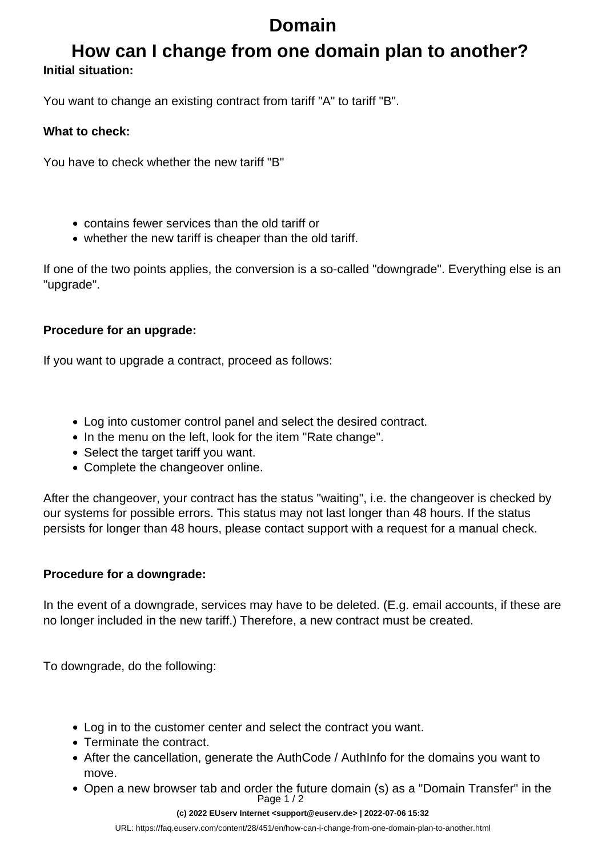# **Domain**

### **How can I change from one domain plan to another? Initial situation:**

You want to change an existing contract from tariff "A" to tariff "B".

#### **What to check:**

You have to check whether the new tariff "B"

- contains fewer services than the old tariff or
- whether the new tariff is cheaper than the old tariff.

If one of the two points applies, the conversion is a so-called "downgrade". Everything else is an "upgrade".

#### **Procedure for an upgrade:**

If you want to upgrade a contract, proceed as follows:

- Log into customer control panel and select the desired contract.
- In the menu on the left, look for the item "Rate change".
- Select the target tariff you want.
- Complete the changeover online.

After the changeover, your contract has the status "waiting", i.e. the changeover is checked by our systems for possible errors. This status may not last longer than 48 hours. If the status persists for longer than 48 hours, please contact support with a request for a manual check.

### **Procedure for a downgrade:**

In the event of a downgrade, services may have to be deleted. (E.g. email accounts, if these are no longer included in the new tariff.) Therefore, a new contract must be created.

To downgrade, do the following:

- Log in to the customer center and select the contract you want.
- Terminate the contract.
- After the cancellation, generate the AuthCode / AuthInfo for the domains you want to move.
- Open a new browser tab and order the future domain (s) as a "Domain Transfer" in the Page 1 / 2

#### **(c) 2022 EUserv Internet <support@euserv.de> | 2022-07-06 15:32**